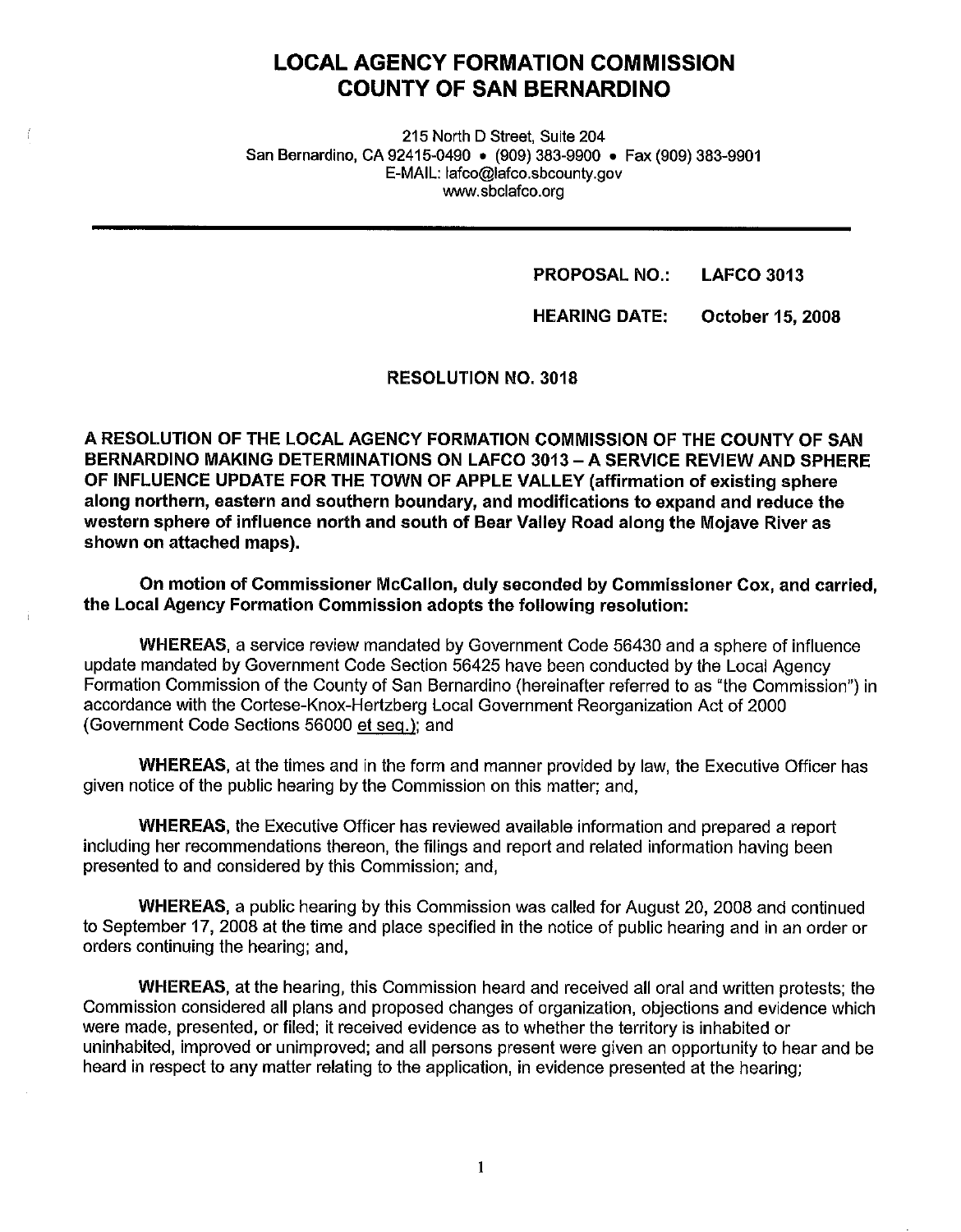## **LOCAL AGENCY FORMATION COMMISSION COUNTY OF SAN BERNARDINO**

215 North D Street, Suite 204 San Bernardino, CA 92415-0490 • (909) 383-9900 • Fax (909) 383-9901 E-MAIL: lafco@lafco.sbcounty.gov www.sbclafco.org

> **PROPOSAL NO.: LAFCO 3013**

**HEARING DATE: October 15, 2008** 

**RESOLUTION NO. 3018** 

**A RESOLUTION OF THE LOCAL AGENCY FORMATION COMMISSION OF THE COUNTY OF SAN BERNARDINO MAKING DETERMINATIONS ON LAFCO 3013-A SERVICE REVIEW AND SPHERE OF INFLUENCE UPDATE FOR THE TOWN OF APPLE VALLEY (affirmation of existing sphere along northern, eastern and southern boundary, and modifications to expand and reduce the western sphere of influence north and south of Bear Valley Road along the Mojave River as shown on attached maps).** 

**On motion of Commissioner McCallon, duly seconded by Commissioner Cox, and carried, the Local Agency Formation Commission adopts the following resolution:** 

**WHEREAS,** a service review mandated by Government Code 56430 and a sphere of influence update mandated by Government Code Section 56425 have been conducted by the Local Agency Formation Commission of the County of San Bernardino (hereinafter referred to as "the Commission") in accordance with the Cortese-Knox-Hertzberg Local Government Reorganization Act of 2000 (Government Code Sections 56000 et seq.): and

**WHEREAS,** at the times and in the form and manner provided by law, the Executive Officer has given notice of the public hearing by the Commission on this matter; and,

**WHEREAS,** the Executive Officer has reviewed available information and prepared a report including her recommendations thereon, the filings and report and related information having been presented to and considered by this Commission; and,

**WHEREAS,** a public hearing by this Commission was called for August 20, 2008 and continued to September 17, 2008 at the time and place specified in the notice of public hearing and in an order or orders continuing the hearing; and,

**WHEREAS,** at the hearing, this Commission heard and received all oral and written protests; the Commission considered all plans and proposed changes of organization, objections and evidence which were made, presented, or filed; it received evidence as to whether the territory is inhabited or uninhabited, improved or unimproved; and all persons present were given an opportunity to hear and be heard in respect to any matter relating to the application, in evidence presented at the hearing;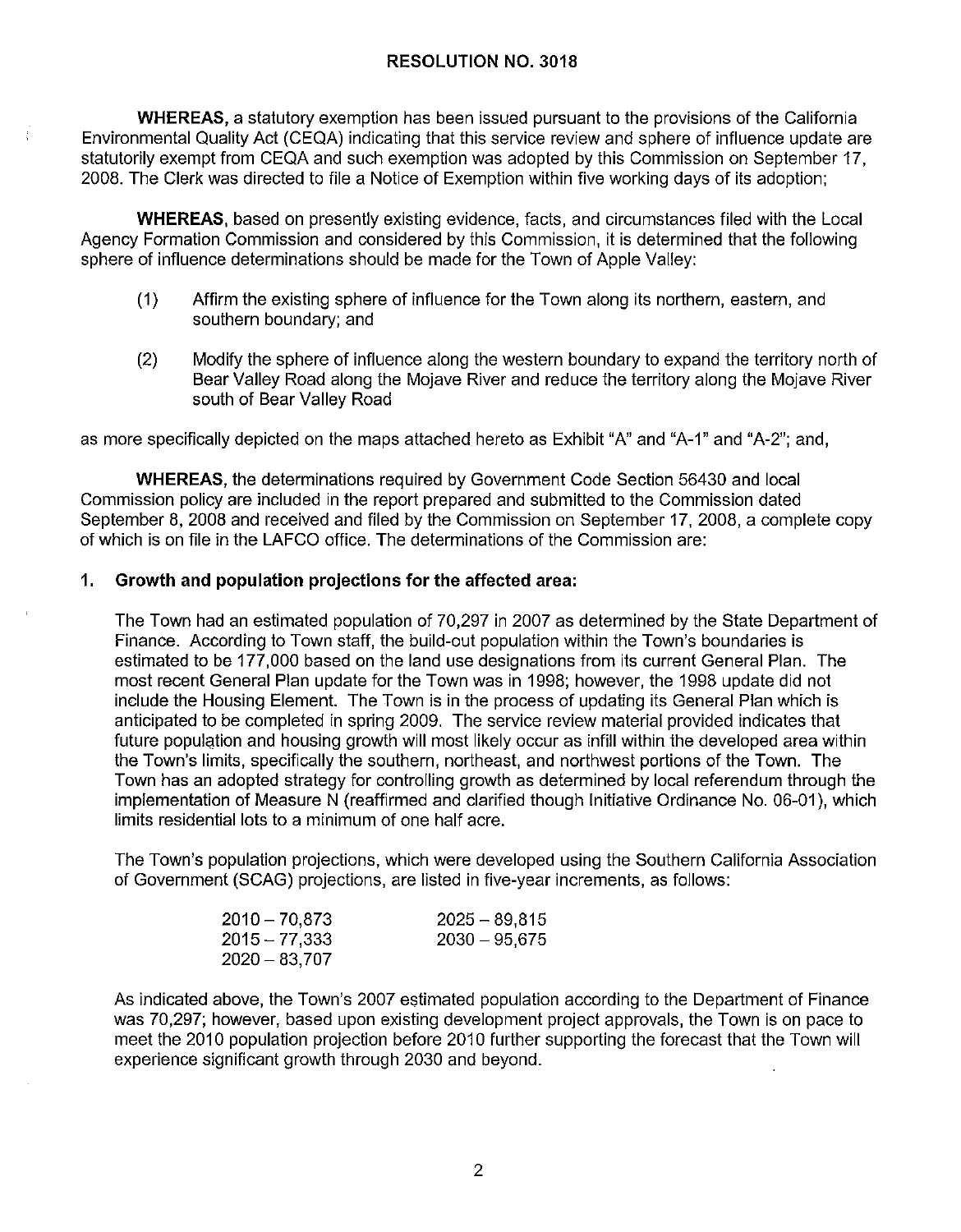**WHEREAS,** a statutory exemption has been issued pursuant to the provisions of the California Environmental Quality Act (CEQA) indicating that this service review and sphere of influence update are statutorily exempt from CEQA and such exemption was adopted by this Commission on September 17, 2008. The Clerk was directed to file a Notice of Exemption within five working days of its adoption;

**WHEREAS,** based on presently existing evidence, facts, and circumstances filed with the Local Agency Formation Commission and considered by this Commission, it is determined that the following sphere of influence determinations should be made for the Town of Apple Valley:

- (1) Affirm the existing sphere of influence for the Town along its northern, eastern, and southern boundary; and
- (2) Modify the sphere of influence along the western boundary to expand the territory north of Bear Valley Road along the Mojave River and reduce the territory along the Mojave River south of Bear Valley Road

as more specifically depicted on the maps attached hereto as Exhibit "A" and "A-1" and "A-2"; and,

**WHEREAS,** the determinations required by Government Code Section 56430 and local Commission policy are included in the report prepared and submitted to the Commission dated September 8, 2008 and received and filed by the Commission on September 17, 2008, a complete copy of which is on file in the LAFCO office. The determinations of the Commission are:

#### **1. Growth and population projections for the affected area:**

The Town had an estimated population of 70,297 in 2007 as determined by the State Department of Finance. According to Town staff, the build-out population within the Town's boundaries is estimated to be 177,000 based on the land use designations from its current General Plan. The most recent General Plan update for the Town was in 1998; however, the 1998 update did not include the Housing Element. The Town is in the process of updating its General Plan which is anticipated to be completed in spring 2009. The service review material provided indicates that future population and housing growth will most likely occur as infill within the developed area within the Town's limits, specifically the southern, northeast, and northwest portions of the Town. The Town has an adopted strategy for controlling growth as determined by local referendum through the implementation of Measure N (reaffirmed and clarified though Initiative Ordinance No. 06-01 ), which limits residential lots to a minimum of one half acre.

The Town's population projections, which were developed using the Southern California Association of Government (SCAG) projections, are listed in five-year increments, as follows:

| $2010 - 70.873$ | $2025 - 89.815$ |
|-----------------|-----------------|
| $2015 - 77.333$ | $2030 - 95.675$ |
| $2020 - 83.707$ |                 |

As indicated above, the Town's 2007 estimated population according to the Department of Finance was 70,297; however, based upon existing development project approvals, the Town is on pace to meet the 2010 population projection before 2010 further supporting the forecast that the Town will experience significant growth through 2030 and beyond.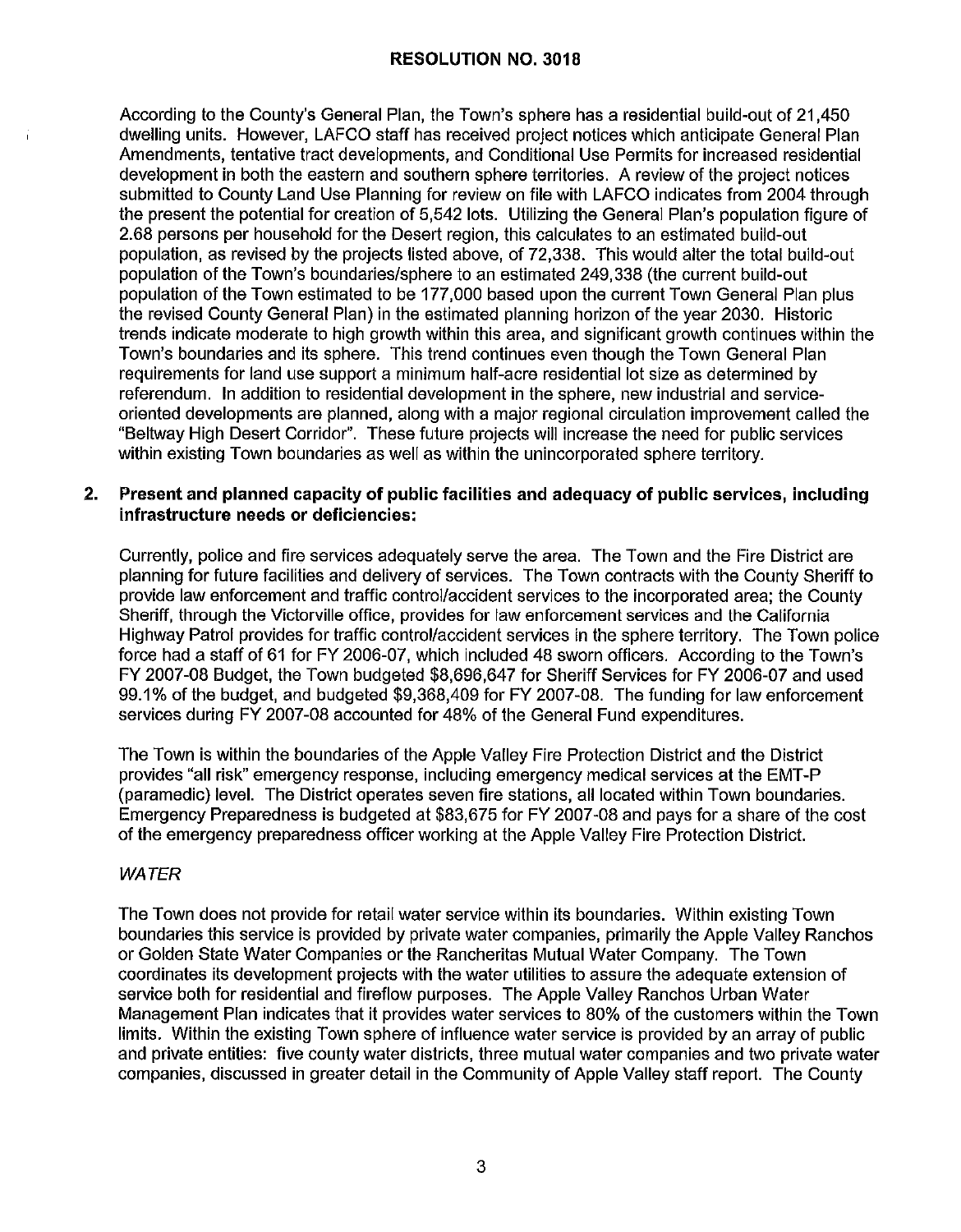According to the County's General Plan, the Town's sphere has a residential build-out of 21,450 dwelling units. However, LAFCO staff has received project notices which anticipate General Plan Amendments, tentative tract developments, and Conditional Use Permits for increased residential development in both the eastern and southern sphere territories. A review of the project notices submitted to County Land Use Planning for review on file with LAFCO indicates from 2004 through the present the potential for creation of 5,542 lots. Utilizing the General Plan's population figure of 2.68 persons per household for the Desert region, this calculates to an estimated build-out population, as revised by the projects listed above, of 72,338. This would alter the total build-out population of the Town's boundaries/sphere to an estimated 249,338 (the current build-out population of the Town estimated to be 177,000 based upon the current Town General Plan plus the revised County General Plan) in the estimated planning horizon of the year 2030. Historic trends indicate moderate to high growth within this area, and significant growth continues within the Town's boundaries and its sphere. This trend continues even though the Town General Plan requirements for land use support a minimum half-acre residential lot size as determined by referendum. In addition to residential development in the sphere, new industrial and serviceoriented developments are planned, along with a major regional circulation improvement called the "Beltway High Desert Corridor". These future projects will increase the need for public services within existing Town boundaries as well as within the unincorporated sphere territory.

#### **2. Present and planned capacity of public facilities and adequacy of public services, including infrastructure needs or deficiencies:**

Currently, police and fire services adequately serve the area. The Town and the Fire District are planning for future facilities and delivery of services. The Town contracts with the County Sheriff to provide law enforcement and traffic control/accident services to the incorporated area; the County Sheriff, through the Victorville office, provides for law enforcement services and the California Highway Patrol provides for traffic control/accident services in the sphere territory. The Town police force had a staff of 61 for FY 2006-07, which included 48 sworn officers. According to the Town's FY 2007-08 Budget, the Town budgeted \$8,696,647 for Sheriff Services for FY 2006-07 and used 99.1 % of the budget, and budgeted \$9,368,409 for FY 2007-08. The funding for law enforcement services during FY 2007-08 accounted for 48% of the General Fund expenditures.

The Town is within the boundaries of the Apple Valley Fire Protection District and the District provides "all risk" emergency response, including emergency medical services at the EMT-P (paramedic) level. The District operates seven fire stations, all located within Town boundaries. Emergency Preparedness is budgeted at \$83,675 for FY 2007-08 and pays for a share of the cost of the emergency preparedness officer working at the Apple Valley Fire Protection District.

## **WATER**

The Town does not provide for retail water service within its boundaries. Within existing Town boundaries this service is provided by private water companies, primarily the Apple Valley Ranchos or Golden State Water Companies or the Rancheritas Mutual Water Company. The Town coordinates its development projects with the water utilities to assure the adequate extension of service both for residential and fireflow purposes. The Apple Valley Ranchos Urban Water Management Plan indicates that it provides water services to 80% of the customers within the Town limits. Within the existing Town sphere of influence water service is provided by an array of public and private entities: five county water districts, three mutual water companies and two private water companies, discussed in greater detail in the Community of Apple Valley staff report. The County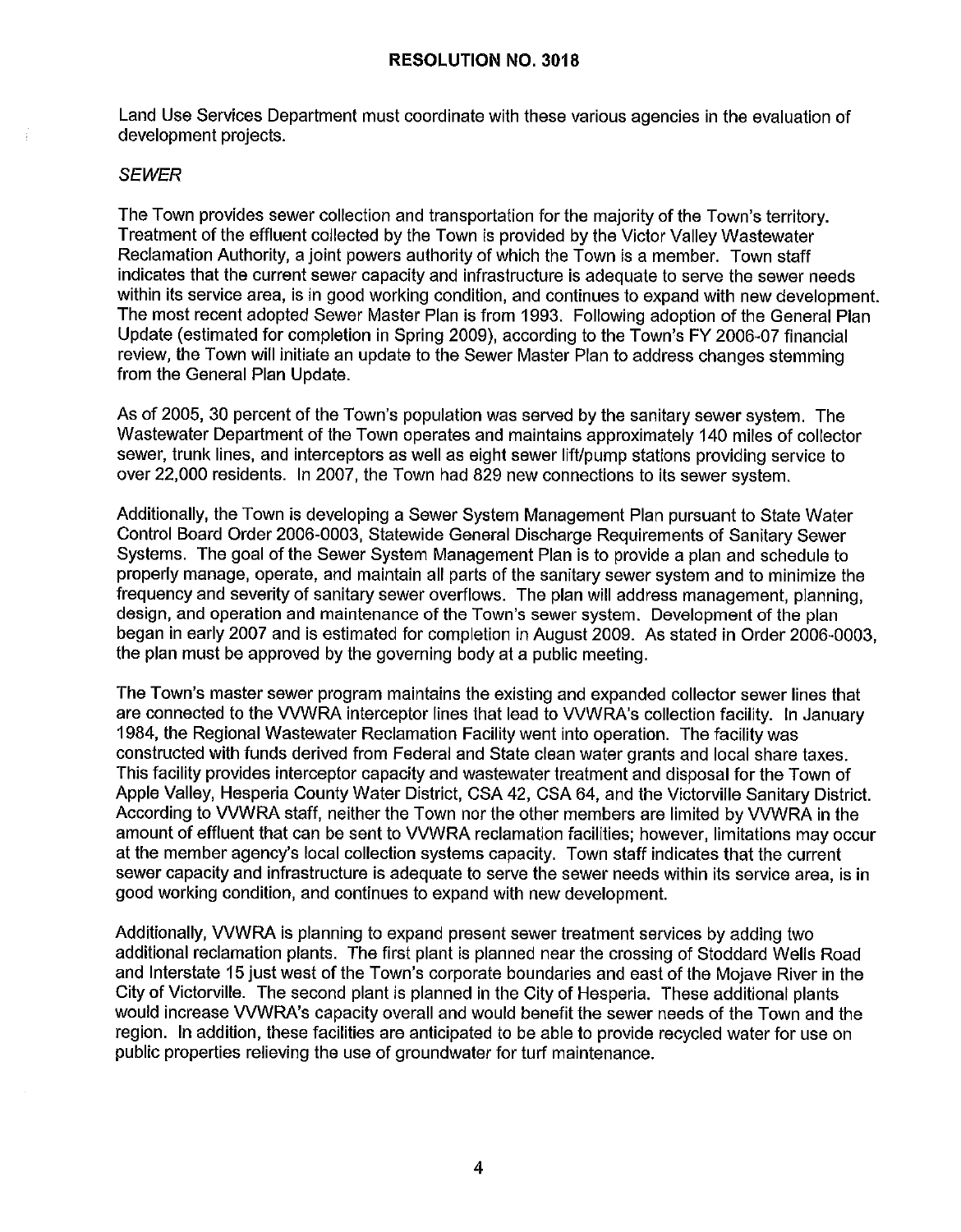Land Use Services Department must coordinate with these various agencies in the evaluation of development projects.

#### **SEWER**

The Town provides sewer collection and transportation for the majority of the Town's territory. Treatment of the effluent collected by the Town is provided by the Victor Valley Wastewater Reclamation Authority, a joint powers authority of which the Town is a member. Town staff indicates that the current sewer capacity and infrastructure is adequate to serve the sewer needs within its service area, is in good working condition, and continues to expand with new development. The most recent adopted Sewer Master Plan is from 1993. Following adoption of the General Plan Update (estimated for completion in Spring 2009), according to the Town's FY 2006-07 financial review, the Town will initiate an update to the Sewer Master Plan to address changes stemming from the General Plan Update.

As of 2005, 30 percent of the Town's population was served by the sanitary sewer system. The Wastewater Department of the Town operates and maintains approximately 140 miles of collector sewer, trunk lines, and interceptors as well as eight sewer lift/pump stations providing service to over 22,000 residents. In 2007, the Town had 829 new connections to its sewer system.

Additionally, the Town is developing a Sewer System Management Plan pursuant to State Water Control Board Order 2006-0003, Statewide General Discharge Requirements of Sanitary Sewer Systems. The goal of the Sewer System Management Plan is to provide a plan and schedule to properly manage, operate, and maintain all parts of the sanitary sewer system and to minimize the frequency and severity of sanitary sewer overflows. The plan will address management, planning, design, and operation and maintenance of the Town's sewer system. Development of the plan began in early 2007 and is estimated for completion in August 2009. As stated in Order 2006-0003, the plan must be approved by the governing body at a public meeting.

The Town's master sewer program maintains the existing and expanded collector sewer lines that are connected to the VVWRA interceptor lines that lead to WWRA's collection facility. In January 1984, the Regional Wastewater Reclamation Facility went into operation. The facility was constructed with funds derived from Federal and State clean water grants and local share taxes. This facility provides interceptor capacity and wastewater treatment and disposal for the Town of Apple Valley, Hesperia County Water District, CSA 42, CSA 64, and the Victorville Sanitary District. According to VVWRA staff, neither the Town nor the other members are limited by VVWRA in the amount of effluent that can be sent to WWRA reclamation facilities; however, limitations may occur at the member agency's local collection systems capacity. Town staff indicates that the current sewer capacity and infrastructure is adequate to serve the sewer needs within its service area, is in good working condition, and continues to expand with new development.

Additionally, WWRA is planning to expand present sewer treatment services by adding two additional reclamation plants. The first plant is planned near the crossing of Stoddard Wells Road and Interstate 15 just west of the Town's corporate boundaries and east of the Mojave River in the City of Victorville. The second plant is planned in the City of Hesperia. These additional plants would increase WWRA's capacity overall and would benefit the sewer needs of the Town and the region. In addition, these facilities are anticipated to be able to provide recycled water for use on public properties relieving the use of groundwater for turf maintenance.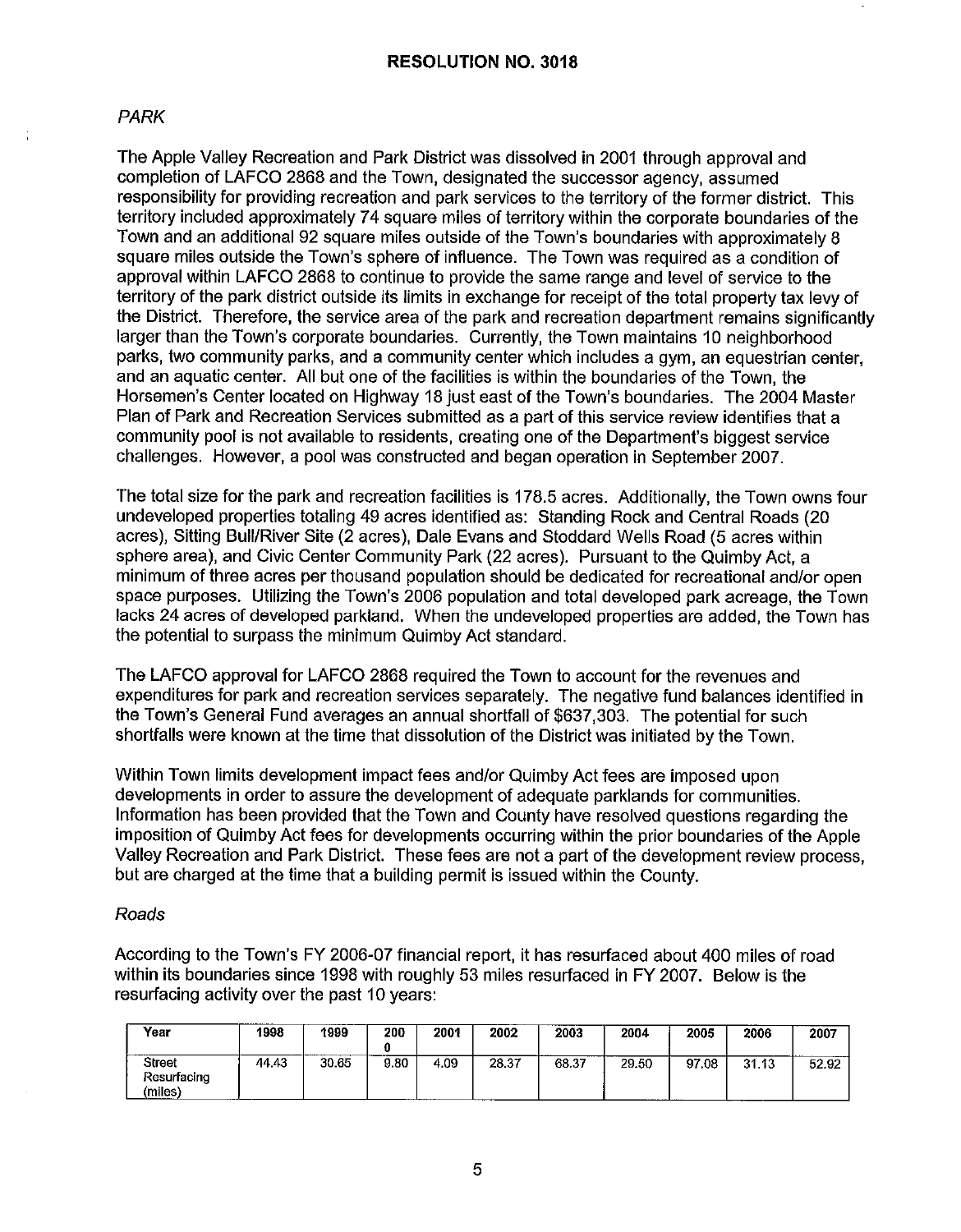## PARK

The Apple Valley Recreation and Park District was dissolved in 2001 through approval and completion of LAFCO 2868 and the Town, designated the successor agency, assumed responsibility for providing recreation and park services to the territory of the former district. This territory included approximately 74 square miles of territory within the corporate boundaries of the Town and an additional 92 square miles outside of the Town's boundaries with approximately 8 square miles outside the Town's sphere of influence. The Town was required as a condition of approval within LAFCO 2868 to continue to provide the same range and level of service to the territory of the park district outside its limits in exchange for receipt of the total property tax levy of the District. Therefore, the service area of the park and recreation department remains significantly larger than the Town's corporate boundaries. Currently, the Town maintains 10 neighborhood parks, two community parks, and a community center which includes a gym, an equestrian center, and an aquatic center. All but one of the facilities is within the boundaries of the Town, the Horsemen's Center located on Highway 18 just east of the Town's boundaries. The 2004 Master Plan of Park and Recreation Services submitted as a part of this service review identifies that a community pool is not available to residents, creating one of the Department's biggest service challenges. However, a pool was constructed and began operation in September 2007.

The total size for the park and recreation facilities is 178.5 acres. Additionally, the Town owns four undeveloped properties totaling 49 acres identified as: Standing Rock and Central Roads (20 acres), Sitting Bull/River Site (2 acres), Dale Evans and Stoddard Wells Road (5 acres within sphere area), and Civic Center Community Park (22 acres). Pursuant to the Quimby Act, a minimum of three acres per thousand population should be dedicated for recreational and/or open space purposes. Utilizing the Town's 2006 population and total developed park acreage, the Town lacks 24 acres of developed parkland. When the undeveloped properties are added, the Town has the potential to surpass the minimum Quimby Act standard.

The LAFCO approval for LAFCO 2868 required the Town to account for the revenues and expenditures for park and recreation services separately. The negative fund balances identified in the Town's General Fund averages an annual shortfall of \$637,303. The potential for such shortfalls were known at the time that dissolution of the District was initiated by the Town.

Within Town limits development impact fees and/or Quimby Act fees are imposed upon developments in order to assure the development of adequate parklands for communities. Information has been provided that the Town and County have resolved questions regarding the imposition of Quimby Act fees for developments occurring within the prior boundaries of the Apple Valley Recreation and Park District. These fees are not a part of the development review process, but are charged at the time that a building permit is issued within the County.

#### Roads

According to the Town's FY 2006-07 financial report, it has resurfaced about 400 miles of road within its boundaries since 1998 with roughly 53 miles resurfaced in FY 2007. Below is the resurfacing activity over the past 10 years:

| Year                             | ____________<br>1998 | 1999<br>------- | 200  | 2001             | 2002  | 2003  | 2004                            | 2005      | ---<br>2006 | 2007  |
|----------------------------------|----------------------|-----------------|------|------------------|-------|-------|---------------------------------|-----------|-------------|-------|
| Street<br>Resurfacing<br>(miles) | 44.43                | 30.65           | 9.80 | 4.09<br>-------- | 28.37 | 68.37 | 29.50<br>-------- <b>-</b> ---- | .08<br>97 | 31.13       | 52.92 |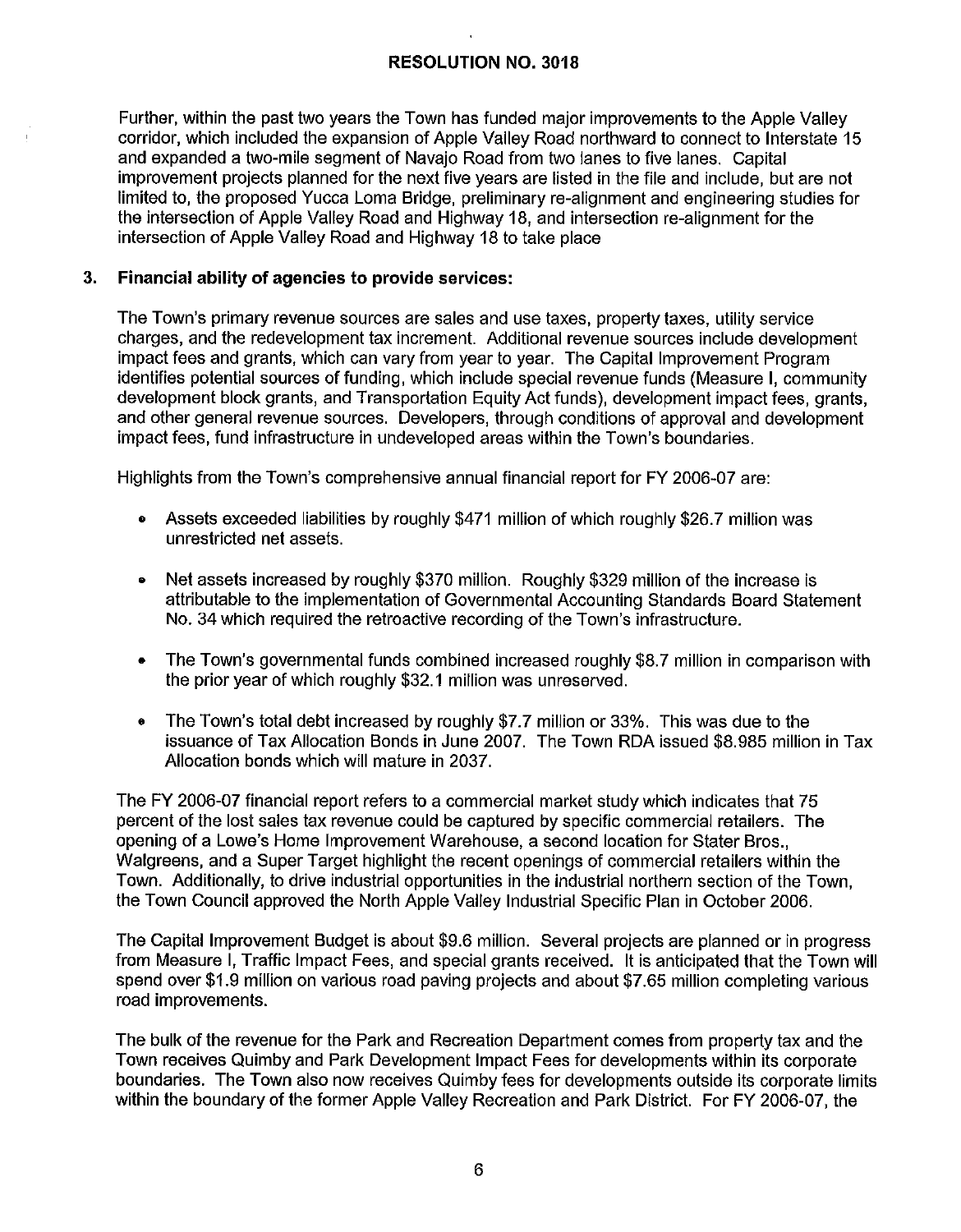Further, within the past two years the Town has funded major improvements to the Apple Valley corridor, which included the expansion of Apple Valley Road northward to connect to Interstate 15 and expanded a two-mile segment of Navajo Road from two lanes to five lanes. Capital improvement projects planned for the next five years are listed in the file and include, but are not limited to, the proposed Yucca Loma Bridge, preliminary re-alignment and engineering studies for the intersection of Apple Valley Road and Highway 18, and intersection re-alignment for the intersection of Apple Valley Road and Highway 18 to take place

## **3. Financial ability of agencies to provide services:**

The Town's primary revenue sources are sales and use taxes, property taxes, utility service charges, and the redevelopment tax increment. Additional revenue sources include development impact fees and grants, which can vary from year to year. The Capital Improvement Program identifies potential sources of funding, which include special revenue funds (Measure **I,** community development block grants, and Transportation Equity Act funds), development impact fees, grants, and other general revenue sources. Developers, through conditions of approval and development impact fees, fund infrastructure in undeveloped areas within the Town's boundaries.

Highlights from the Town's comprehensive annual financial report for FY 2006-07 are:

- Assets exceeded liabilities by roughly \$471 million of which roughly \$26.7 million was unrestricted net assets.
- Net assets increased by roughly \$370 million. Roughly \$329 million of the increase is attributable to the implementation of Governmental Accounting Standards Board Statement No. 34 which required the retroactive recording of the Town's infrastructure.
- The Town's governmental funds combined increased roughly \$8.7 million in comparison with the prior year of which roughly \$32.1 million was unreserved.
- The Town's total debt increased by roughly \$7.7 million or 33%. This was due to the issuance of Tax Allocation Bonds in June 2007. The Town RDA issued \$8.985 million in Tax Allocation bonds which will mature in 2037.

The FY 2006-07 financial report refers to a commercial market study which indicates that 75 percent of the lost sales tax revenue could be captured by specific commercial retailers. The opening of a Lowe's Home Improvement Warehouse, a second location for Stater Bros., Walgreens, and a Super Target highlight the recent openings of commercial retailers within the Town. Additionally, to drive industrial opportunities in the industrial northern section of the Town, the Town Council approved the North Apple Valley Industrial Specific Plan in October 2006.

The Capital Improvement Budget is about \$9.6 million. Several projects are planned or in progress from Measure I, Traffic Impact Fees, and special grants received. It is anticipated that the Town will spend over \$1.9 million on various road paving projects and about \$7.65 million completing various road improvements.

The bulk of the revenue for the Park and Recreation Department comes from property tax and the Town receives Quimby and Park Development Impact Fees for developments within its corporate boundaries. The Town also now receives Quimby fees for developments outside its corporate limits within the boundary of the former Apple Valley Recreation and Park District. For FY 2006-07, the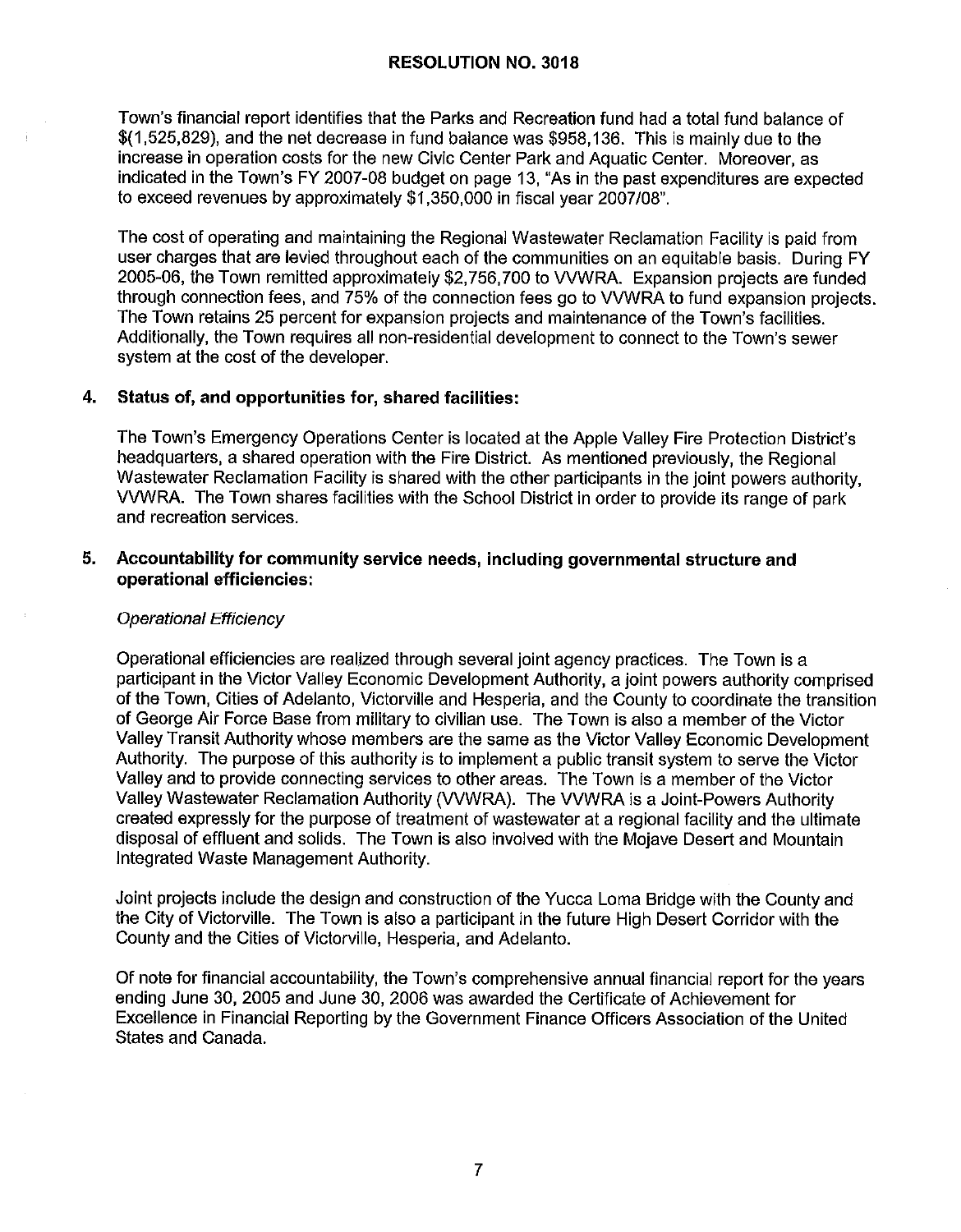Town's financial report identifies that the Parks and Recreation fund had a total fund balance of \$(1,525,829), and the net decrease in fund balance was \$958,136. This is mainly due to the increase in operation costs for the new Civic Center Park and Aquatic Center. Moreover, as indicated in the Town's FY 2007-08 budget on page 13, "As in the past expenditures are expected to exceed revenues by approximately \$1,350,000 in fiscal year 2007/08".

The cost of operating and maintaining the Regional Wastewater Reclamation Facility is paid from user charges that are levied throughout each of the communities on an equitable basis. During FY 2005-06, the Town remitted approximately \$2,756,700 to VVWRA. Expansion projects are funded through connection fees, and 75% of the connection fees go to VVWRA to fund expansion projects. The Town retains 25 percent for expansion projects and maintenance of the Town's facilities. Additionally, the Town requires all non-residential development to connect to the Town's sewer system at the cost of the developer.

## **4. Status of, and opportunities for, shared facilities:**

The Town's Emergency Operations Center is located at the Apple Valley Fire Protection District's headquarters, a shared operation with the Fire District. As mentioned previously, the Regional Wastewater Reclamation Facility is shared with the other participants in the joint powers authority, WWRA. The Town shares facilities with the School District in order to provide its range of park and recreation services.

#### **5. Accountability for community service needs, including governmental structure and operational efficiencies:**

#### Operational Efficiency

Operational efficiencies are realized through several joint agency practices. The Town is a participant in the Victor Valley Economic Development Authority, a joint powers authority comprised of the Town, Cities of Adelanto, Victorville and Hesperia, and the County to coordinate the transition of George Air Force Base from military to civilian use. The Town is also a member of the Victor Valley Transit Authority whose members are the same as the Victor Valley Economic Development Authority. The purpose of this authority is to implement a public transit system to serve the Victor Valley and to provide connecting services to other areas. The Town is a member of the Victor Valley Wastewater Reclamation Authority (VVWRA). The VVWRA is a Joint-Powers Authority created expressly for the purpose of treatment of wastewater at a regional facility and the ultimate disposal of effluent and solids. The Town is also involved with the Mojave Desert and Mountain Integrated Waste Management Authority.

Joint projects include the design and construction of the Yucca Loma Bridge with the County and the City of Victorville. The Town is also a participant in the future High Desert Corridor with the County and the Cities of Victorville, Hesperia, and Adelanto.

Of note for financial accountability, the Town's comprehensive annual financial report for the years ending June 30, 2005 and June 30, 2006 was awarded the Certificate of Achievement for Excellence in Financial Reporting by the Government Finance Officers Association of the United States and Canada.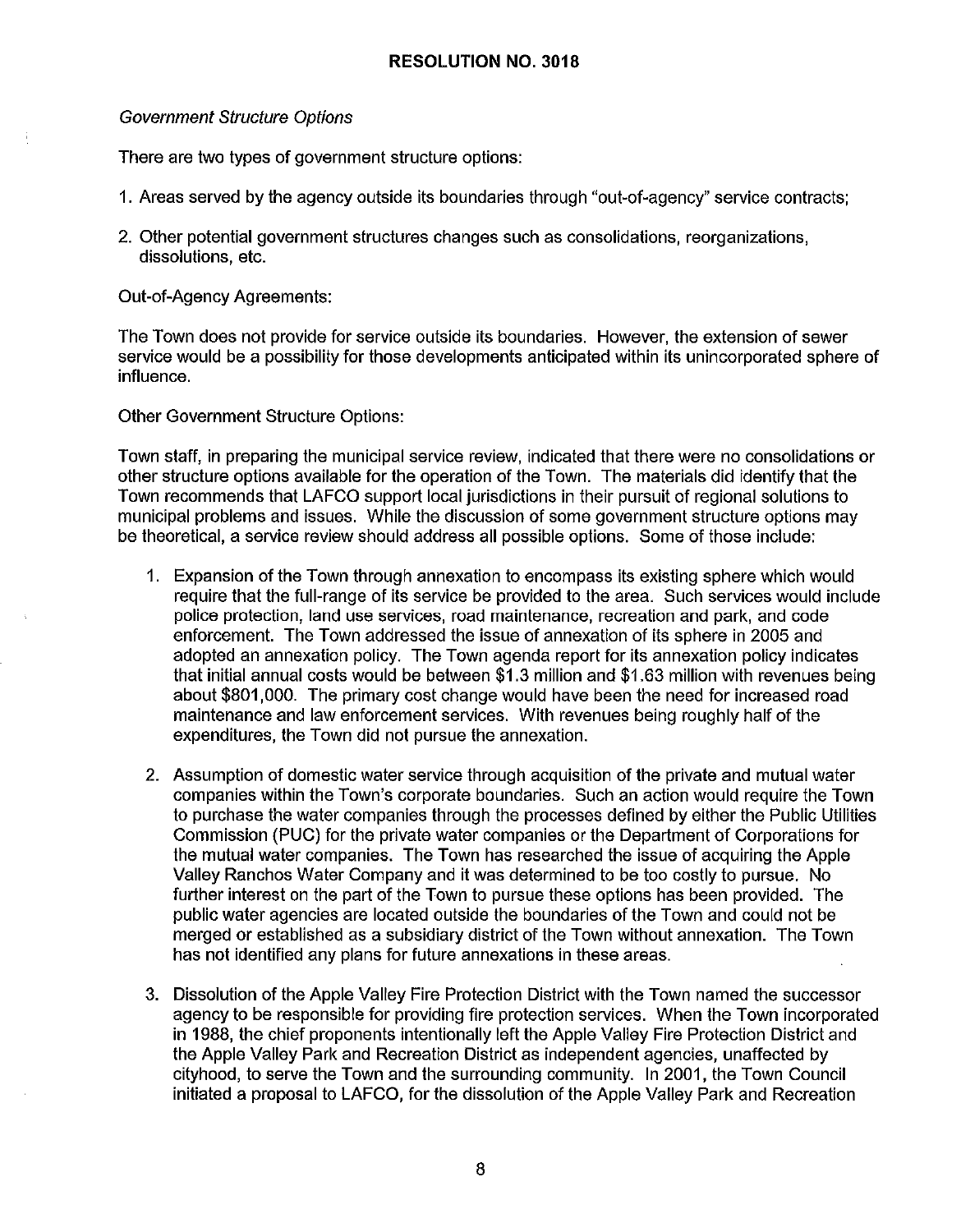#### Government Structure Options

There are two types of government structure options:

- 1. Areas served by the agency outside its boundaries through "out-of-agency" service contracts;
- 2. Other potential government structures changes such as consolidations, reorganizations, dissolutions, etc.

Out-of-Agency Agreements:

The Town does not provide for service outside its boundaries. However, the extension of sewer service would be a possibility for those developments anticipated within its unincorporated sphere of influence.

Other Government Structure Options:

Town staff, in preparing the municipal service review, indicated that there were no consolidations or other structure options available for the operation of the Town. The materials did identify that the Town recommends that LAFCO support local jurisdictions in their pursuit of regional solutions to municipal problems and issues. While the discussion of some government structure options may be theoretical, a service review should address all possible options. Some of those include:

- 1. Expansion of the Town through annexation to encompass its existing sphere which would require that the full-range of its service be provided to the area. Such services would include police protection, land use services, road maintenance, recreation and park, and code enforcement. The Town addressed the issue of annexation of its sphere in 2005 and adopted an annexation policy. The Town agenda report for its annexation policy indicates that initial annual costs would be between \$1.3 million and \$1.63 million with revenues being about \$801,000. The primary cost change would have been the need for increased road maintenance and law enforcement services. With revenues being roughly half of the expenditures, the Town did not pursue the annexation.
- 2. Assumption of domestic water service through acquisition of the private and mutual water companies within the Town's corporate boundaries. Such an action would require the Town to purchase the water companies through the processes defined by either the Public Utilities Commission (PUC) for the private water companies or the Department of Corporations for the mutual water companies. The Town has researched the issue of acquiring the Apple Valley Ranchos Water Company and it was determined to be too costly to pursue. No further interest on the part of the Town to pursue these options has been provided. The public water agencies are located outside the boundaries of the Town and could not be merged or established as a subsidiary district of the Town without annexation. The Town has not identified any plans for future annexations in these areas.
- 3. Dissolution of the Apple Valley Fire Protection District with the Town named the successor agency to be responsible for providing fire protection services. When the Town incorporated in 1988, the chief proponents intentionally left the Apple Valley Fire Protection District and the Apple Valley Park and Recreation District as independent agencies, unaffected by cityhood, to serve the Town and the surrounding community. In 2001, the Town Council initiated a proposal to LAFCO, for the dissolution of the Apple Valley Park and Recreation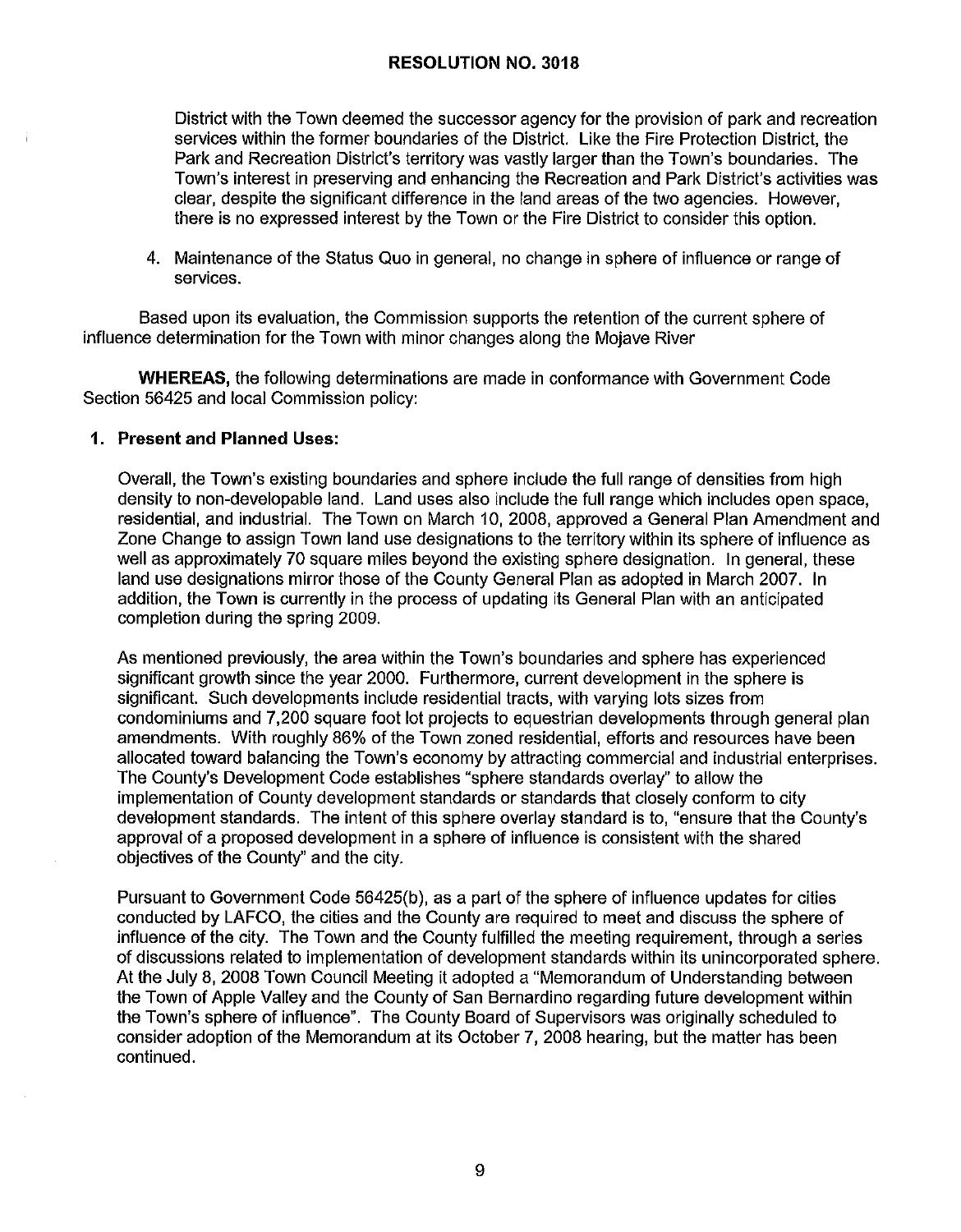District with the Town deemed the successor agency for the provision of park and recreation services within the former boundaries of the District. Like the Fire Protection District, the Park and Recreation District's territory was vastly larger than the Town's boundaries. The Town's interest in preserving and enhancing the Recreation and Park District's activities was clear, despite the significant difference in the land areas of the two agencies. However, there is no expressed interest by the Town or the Fire District to consider this option.

4. Maintenance of the Status Quo in general, no change in sphere of influence or range of services.

Based upon its evaluation, the Commission supports the retention of the current sphere of influence determination for the Town with minor changes along the Mojave River

**WHEREAS,** the following determinations are made in conformance with Government Code Section 56425 and local Commission policy:

#### **1. Present and Planned Uses:**

Overall, the Town's existing boundaries and sphere include the full range of densities from high density to non-developable land. Land uses also include the full range which includes open space, residential, and industrial. The Town on March 10, 2008, approved a General Plan Amendment and Zone Change to assign Town land use designations to the territory within its sphere of influence as well as approximately 70 square miles beyond the existing sphere designation. In general, these land use designations mirror those of the County General Plan as adopted in March 2007. In addition, the Town is currently in the process of updating its General Plan with an anticipated completion during the spring 2009.

As mentioned previously, the area within the Town's boundaries and sphere has experienced significant growth since the year 2000. Furthermore, current development in the sphere is significant. Such developments include residential tracts, with varying lots sizes from condominiums and 7,200 square foot lot projects to equestrian developments through general plan amendments. With roughly 86% of the Town zoned residential, efforts and resources have been allocated toward balancing the Town's economy by attracting commercial and industrial enterprises. The County's Development Code establishes "sphere standards overlay" to allow the implementation of County development standards or standards that closely conform to city development standards. The intent of this sphere overlay standard is to, "ensure that the County's approval of a proposed development in a sphere of influence is consistent with the shared objectives of the County" and the city.

Pursuant to Government Code 56425(b), as a part of the sphere of influence updates for cities conducted by LAFCO, the cities and the County are required to meet and discuss the sphere of influence of the city. The Town and the County fulfilled the meeting requirement, through a series of discussions related to implementation of development standards within its unincorporated sphere. At the July 8, 2008 Town Council Meeting it adopted a "Memorandum of Understanding between the Town of Apple Valley and the County of San Bernardino regarding future development within the Town's sphere of influence". The County Board of Supervisors was originally scheduled to consider adoption of the Memorandum at its October 7, 2008 hearing, but the matter has been continued.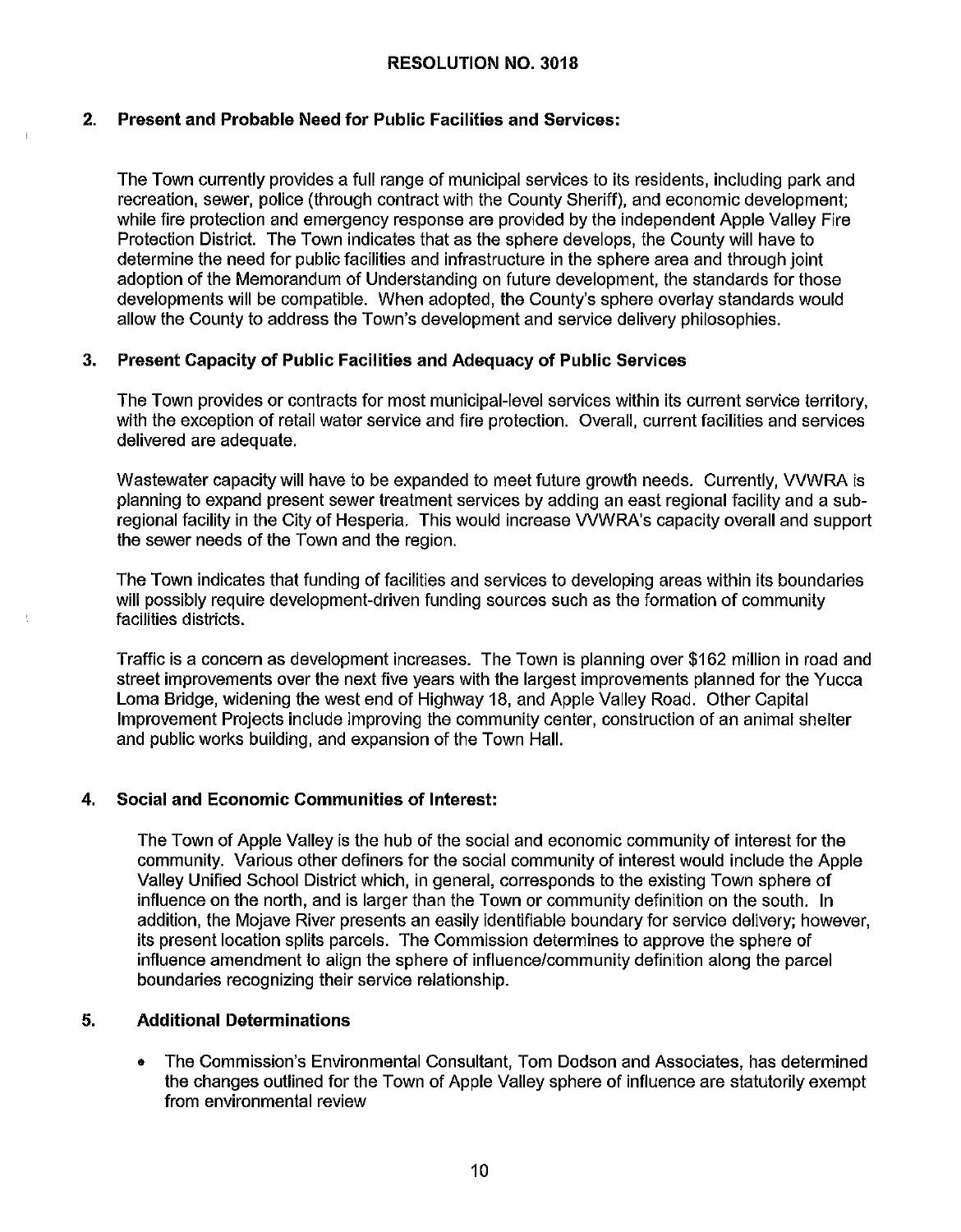## **2. Present and Probable Need for Public Facilities and Services:**

The Town currently provides a full range of municipal services to its residents, including park and recreation, sewer, police (through contract with the County Sheriff), and economic development; while fire protection and emergency response are provided by the independent Apple Valley Fire Protection District. The Town indicates that as the sphere develops, the County will have to determine the need for public facilities and infrastructure in the sphere area and through joint adoption of the Memorandum of Understanding on future development, the standards for those developments will be compatible. When adopted, the County's sphere overlay standards would allow the County to address the Town's development and service delivery philosophies.

#### **3. Present Capacity of Public Facilities and Adequacy of Public Services**

The Town provides or contracts for most municipal-level services within its current service territory, with the exception of retail water service and fire protection. Overall, current facilities and services delivered are adequate.

Wastewater capacity will have to be expanded to meet future growth needs. Currently, WWRA is planning to expand present sewer treatment services by adding an east regional facility and a subregional facility in the City of Hesperia. This would increase WWRA's capacity overall and support the sewer needs of the Town and the region.

The Town indicates that funding of facilities and services to developing areas within its boundaries will possibly require development-driven funding sources such as the formation of community facilities districts.

Traffic is a concern as development increases. The Town is planning over \$162 million in road and street improvements over the next five years with the largest improvements planned for the Yucca Loma Bridge, widening the west end of Highway 18, and Apple Valley Road. Other Capital Improvement Projects include improving the community center, construction of an animal shelter and public works building, and expansion of the Town Hall.

## **4. Social and Economic Communities of Interest:**

The Town of Apple Valley is the hub of the social and economic community of interest for the community. Various other definers for the social community of interest would include the Apple Valley Unified School District which, in general, corresponds to the existing Town sphere of influence on the north, and is larger than the Town or community definition on the south. In addition, the Mojave River presents an easily identifiable boundary for service delivery; however, its present location splits parcels. The Commission determines to approve the sphere of influence amendment to align the sphere of influence/community definition along the parcel boundaries recognizing their service relationship.

#### **5. Additional Determinations**

• The Commission's Environmental Consultant, Tom Dodson and Associates, has determined the changes outlined for the Town of Apple Valley sphere of influence are statutorily exempt from environmental review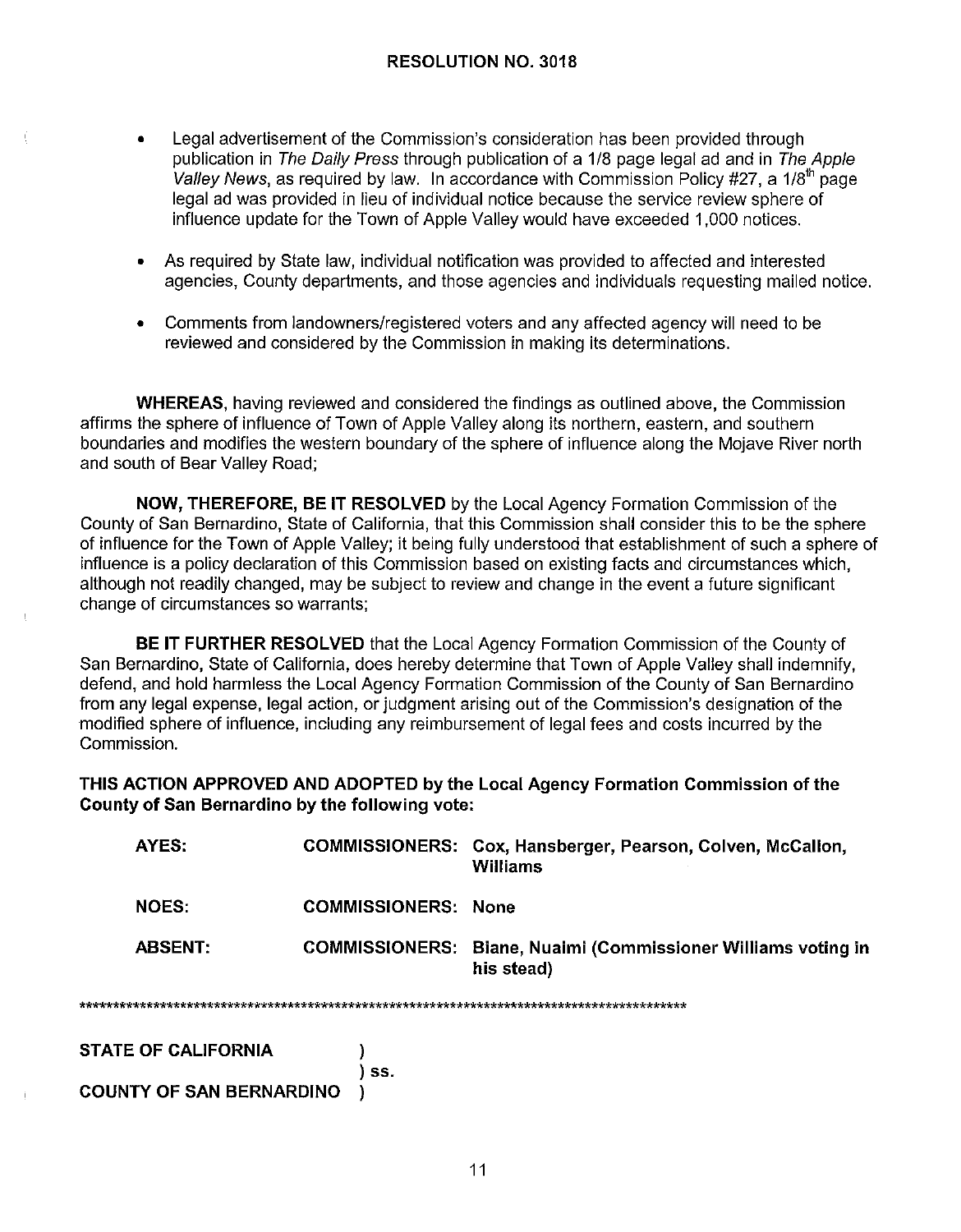- Legal advertisement of the Commission's consideration has been provided through publication in The Daily Press through publication of a 1/8 page legal ad and in The Apple *Valley News,* as required by law. In accordance with Commission Policy #27, a 1/8<sup>th</sup> page legal ad was provided in lieu of individual notice because the service review sphere of influence update for the Town of Apple Valley would have exceeded 1,000 notices.
- As required by State law, individual notification was provided to affected and interested agencies, County departments, and those agencies and individuals requesting mailed notice.
- Comments from landowners/registered voters and any affected agency will need to be reviewed and considered by the Commission in making its determinations.

**WHEREAS,** having reviewed and considered the findings as outlined above, the Commission affirms the sphere of influence of Town of Apple Valley along its northern, eastern, and southern boundaries and modifies the western boundary of the sphere of influence along the Mojave River north and south of Bear Valley Road;

**NOW, THEREFORE, BE IT RESOLVED** by the Local Agency Formation Commission of the County of San Bernardino, State of California, that this Commission shall consider this to be the sphere of influence for the Town of Apple Valley; it being fully understood that establishment of such a sphere of influence is a policy declaration of this Commission based on existing facts and circumstances which, although not readily changed, may be subject to review and change in the event a future significant change of circumstances so warrants;

**BE IT FURTHER RESOLVED** that the Local Agency Formation Commission of the County of San Bernardino, State of California, does hereby determine that Town of Apple Valley shall indemnify, defend, and hold harmless the Local Agency Formation Commission of the County of San Bernardino from any legal expense, legal action, or judgment arising out of the Commission's designation of the modified sphere of influence, including any reimbursement of legal fees and costs incurred by the Commission.

**THIS ACTION APPROVED AND ADOPTED by the Local Agency Formation Commission of the County of San Bernardino by the following vote:** 

| AYES:          |                            | COMMISSIONERS: Cox, Hansberger, Pearson, Colven, McCallon,<br>Williams |
|----------------|----------------------------|------------------------------------------------------------------------|
| NOES:          | <b>COMMISSIONERS: None</b> |                                                                        |
| <b>ABSENT:</b> | <b>COMMISSIONERS:</b>      | Biane, Nuaimi (Commissioner Williams voting in<br>his stead)           |

\*\*\*\*\*\*\*\*\*\*\*\*\*\*\*\*\*\*\*\*\*\*\*\*\*\*\*\*\*\*\*\*\*\*\*\*\*\*\*\*\*\*\*\*\*\*\*\*\*\*\*\*\*\*\*\*\*\*\*\*\*\*\*\*\*\*\*\*\*\*\*\*\*\*\*\*\*\*\*\*\*\*\*\*\*\*\*\*\*\*

) **ss.** 

**STATE OF CALIFORNIA** )

**COUNTY OF SAN BERNARDINO** )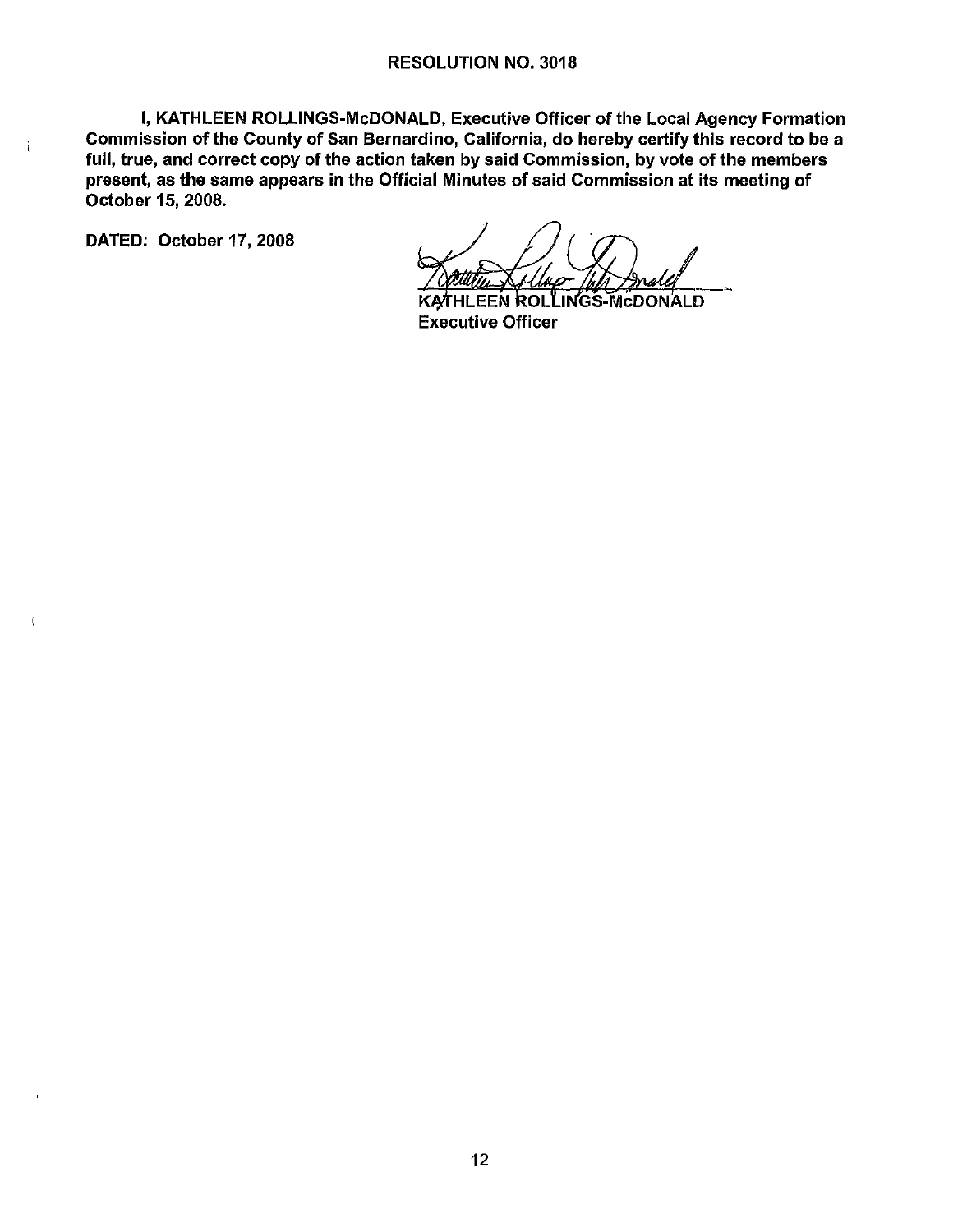I, KATHLEEN ROLLINGS-McDONALD, Executive Officer of the Local Agency Formation Commission of the County of San Bernardino, California, do hereby certify this record to be a full, true, and correct copy of the action taken by said Commission, by vote of the members present, as the same appears in the Official Minutes of said Commission at its meeting of October 15, 2008.

DATED: October 17, 2008

 $\mathfrak{i}$ 

.INGS-McDONALD ILEEN ROLÏ Executive Officer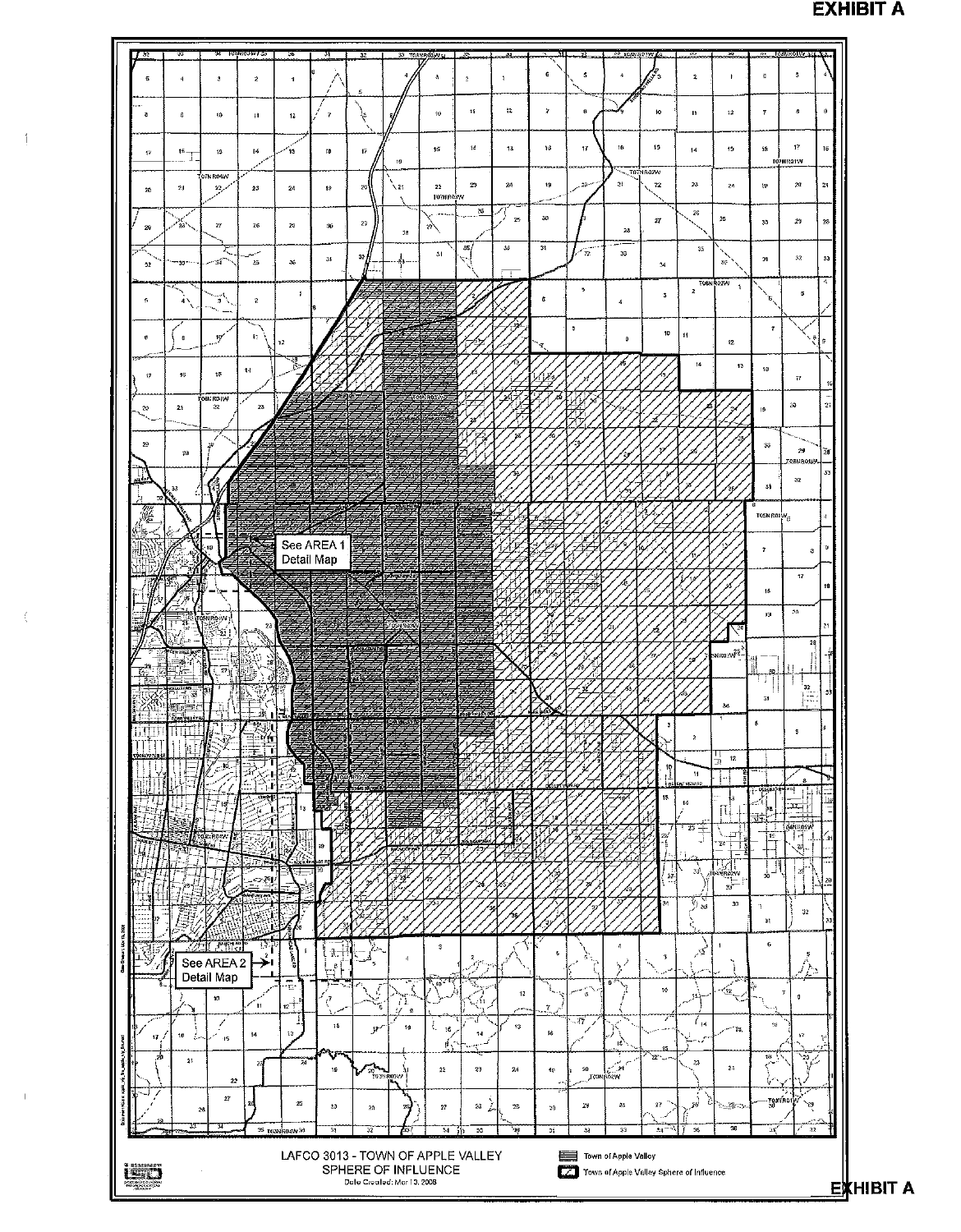

**EXHIBIT A**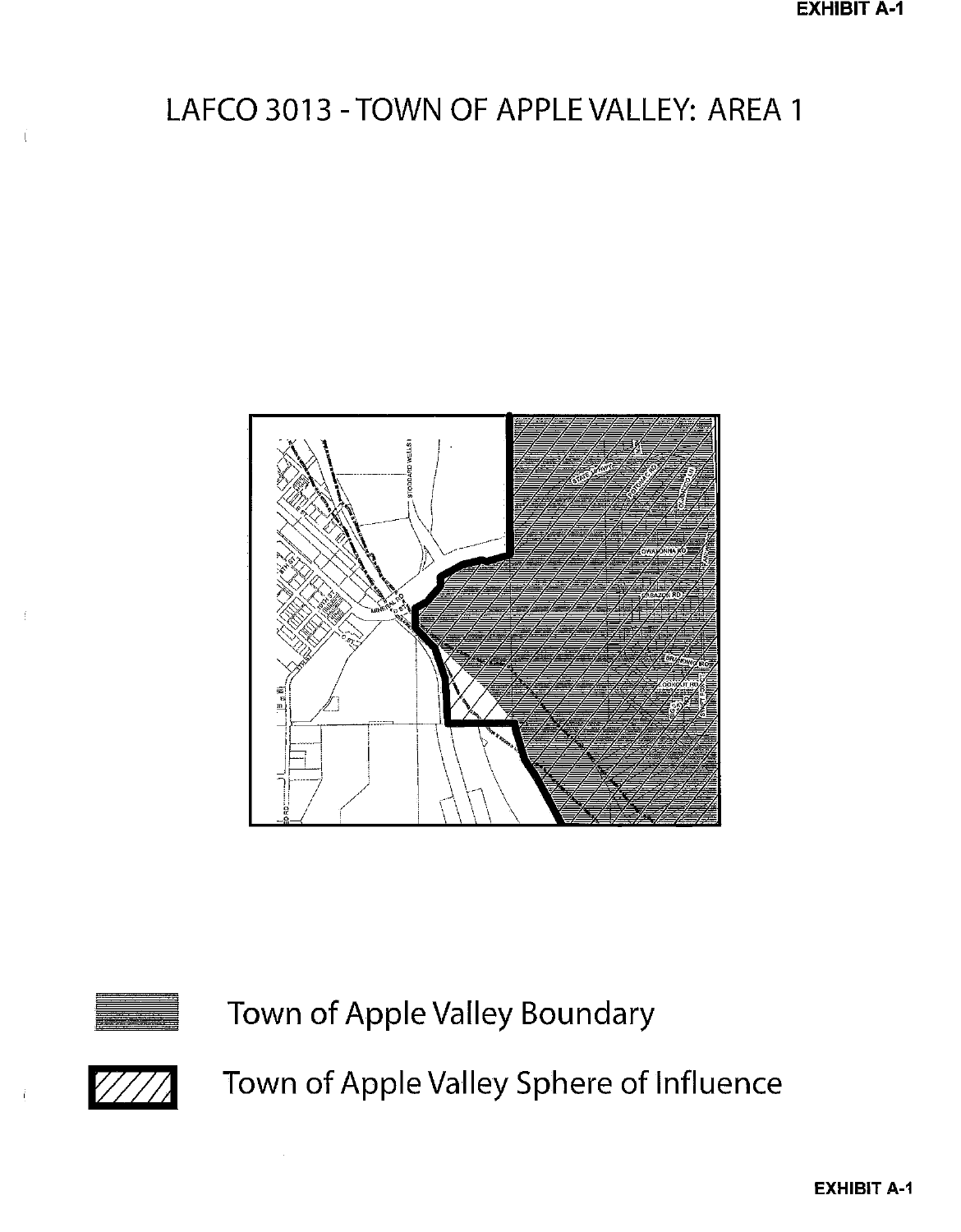# LAFCO 3013 - TOWN OF APPLE VALLEY: AREA 1





 $\frac{1}{2}$ 

Town of Apple Valley Boundary



Town of Apple Valley Sphere of Influence